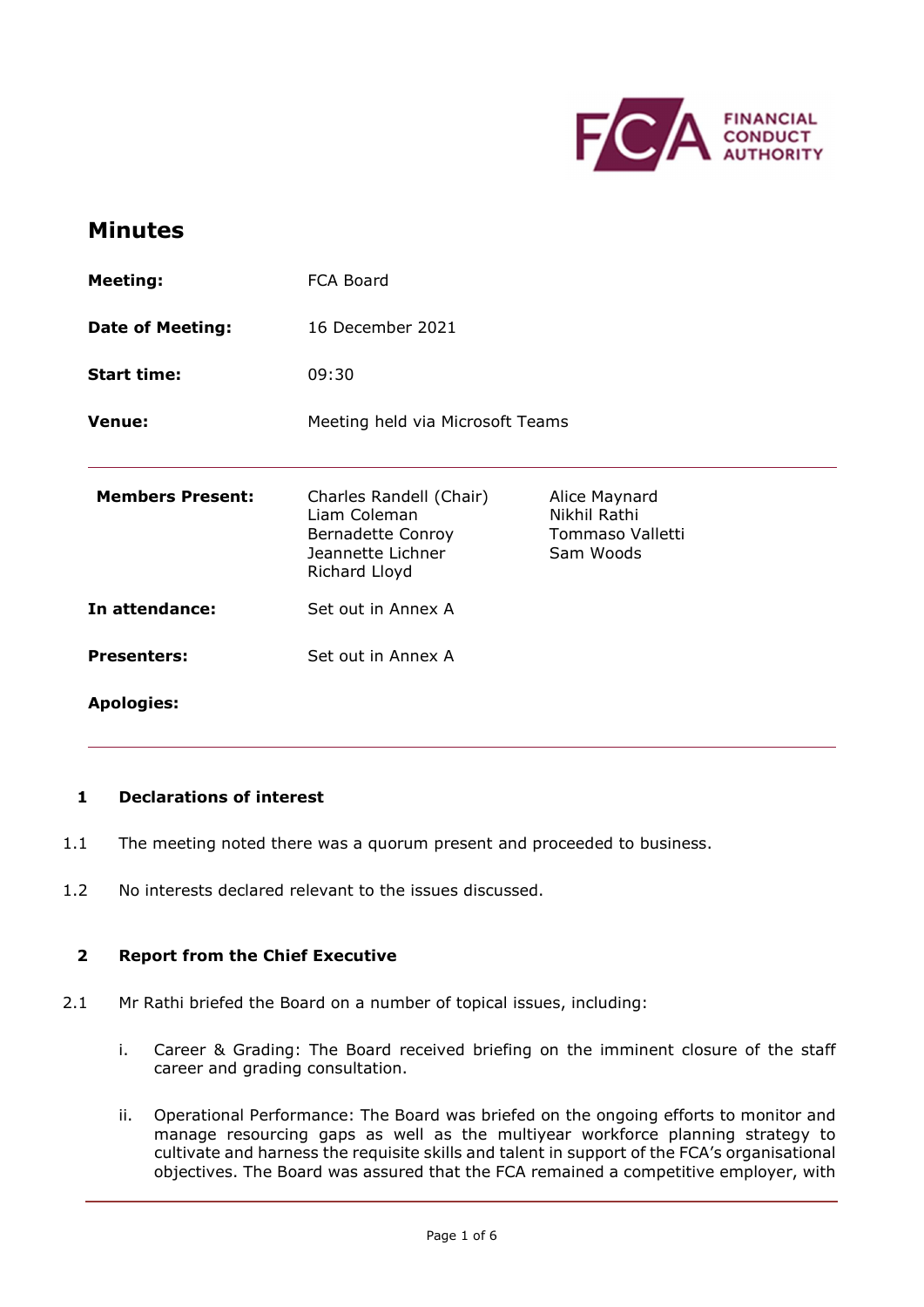

# Minutes

| <b>Meeting:</b>         | FCA Board                                                                                          |                                                                |
|-------------------------|----------------------------------------------------------------------------------------------------|----------------------------------------------------------------|
| <b>Date of Meeting:</b> | 16 December 2021                                                                                   |                                                                |
| <b>Start time:</b>      | 09:30                                                                                              |                                                                |
| <b>Venue:</b>           | Meeting held via Microsoft Teams                                                                   |                                                                |
| <b>Members Present:</b> | Charles Randell (Chair)<br>Liam Coleman<br>Bernadette Conroy<br>Jeannette Lichner<br>Richard Lloyd | Alice Maynard<br>Nikhil Rathi<br>Tommaso Valletti<br>Sam Woods |
| In attendance:          | Set out in Annex A                                                                                 |                                                                |
| <b>Presenters:</b>      | Set out in Annex A                                                                                 |                                                                |
| <b>Apologies:</b>       |                                                                                                    |                                                                |

#### 1 Declarations of interest

- 1.1 The meeting noted there was a quorum present and proceeded to business.
- 1.2 No interests declared relevant to the issues discussed.

## 2 Report from the Chief Executive

- 2.1 Mr Rathi briefed the Board on a number of topical issues, including:
	- i. Career & Grading: The Board received briefing on the imminent closure of the staff career and grading consultation.
	- ii. Operational Performance: The Board was briefed on the ongoing efforts to monitor and manage resourcing gaps as well as the multiyear workforce planning strategy to cultivate and harness the requisite skills and talent in support of the FCA's organisational objectives. The Board was assured that the FCA remained a competitive employer, with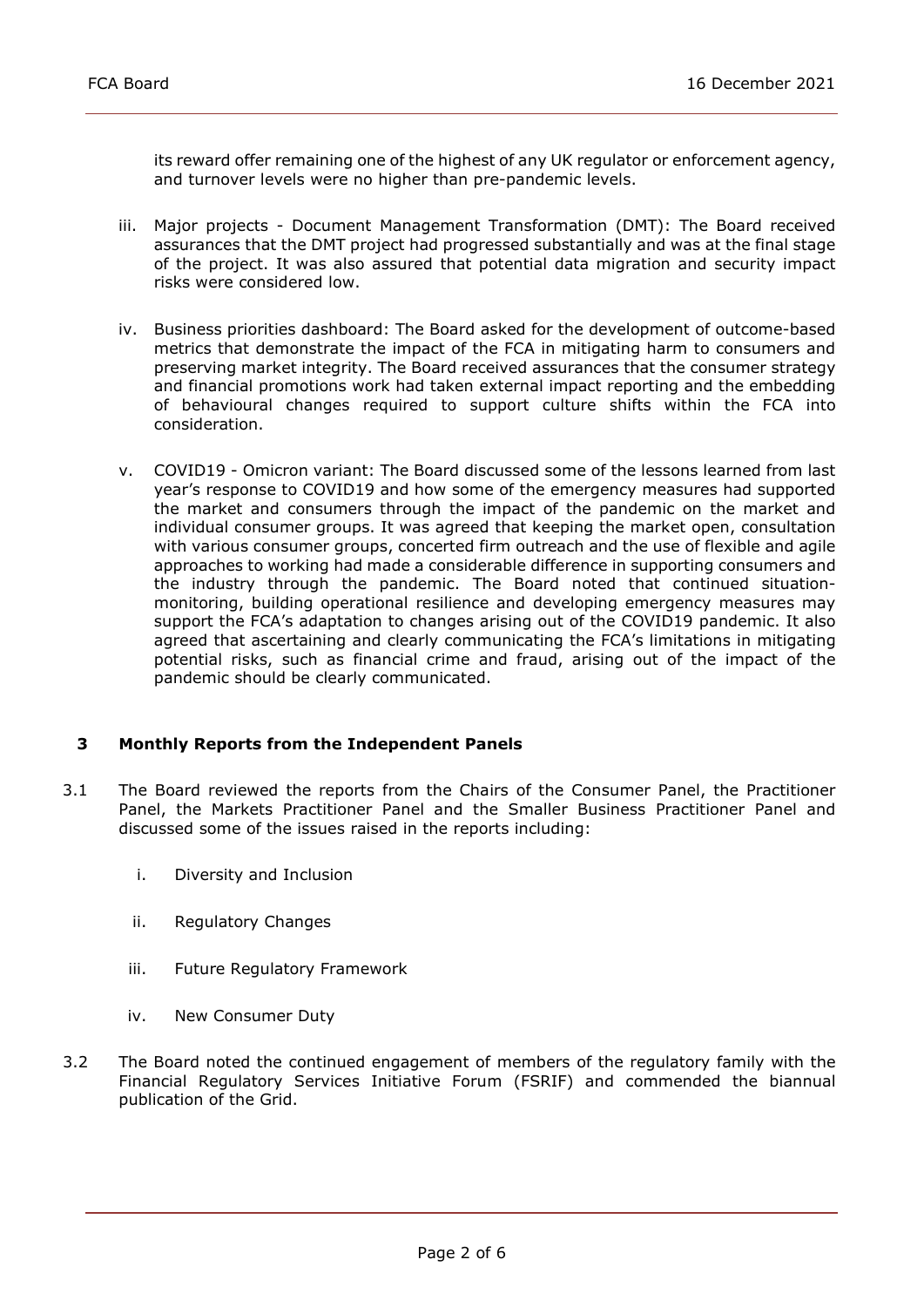its reward offer remaining one of the highest of any UK regulator or enforcement agency, and turnover levels were no higher than pre-pandemic levels.

- iii. Major projects Document Management Transformation (DMT): The Board received assurances that the DMT project had progressed substantially and was at the final stage of the project. It was also assured that potential data migration and security impact risks were considered low.
- iv. Business priorities dashboard: The Board asked for the development of outcome-based metrics that demonstrate the impact of the FCA in mitigating harm to consumers and preserving market integrity. The Board received assurances that the consumer strategy and financial promotions work had taken external impact reporting and the embedding of behavioural changes required to support culture shifts within the FCA into consideration.
- v. COVID19 Omicron variant: The Board discussed some of the lessons learned from last year's response to COVID19 and how some of the emergency measures had supported the market and consumers through the impact of the pandemic on the market and individual consumer groups. It was agreed that keeping the market open, consultation with various consumer groups, concerted firm outreach and the use of flexible and agile approaches to working had made a considerable difference in supporting consumers and the industry through the pandemic. The Board noted that continued situation- monitoring, building operational resilience and developing emergency measures may support the FCA's adaptation to changes arising out of the COVID19 pandemic. It also agreed that ascertaining and clearly communicating the FCA's limitations in mitigating potential risks, such as financial crime and fraud, arising out of the impact of the pandemic should be clearly communicated.

## 3 Monthly Reports from the Independent Panels

- 3.1 The Board reviewed the reports from the Chairs of the Consumer Panel, the Practitioner Panel, the Markets Practitioner Panel and the Smaller Business Practitioner Panel and discussed some of the issues raised in the reports including:
	- i. Diversity and Inclusion
	- ii. Regulatory Changes
	- iii. Future Regulatory Framework
	- iv. New Consumer Duty
- 3.2 The Board noted the continued engagement of members of the regulatory family with the Financial Regulatory Services Initiative Forum (FSRIF) and commended the biannual publication of the Grid.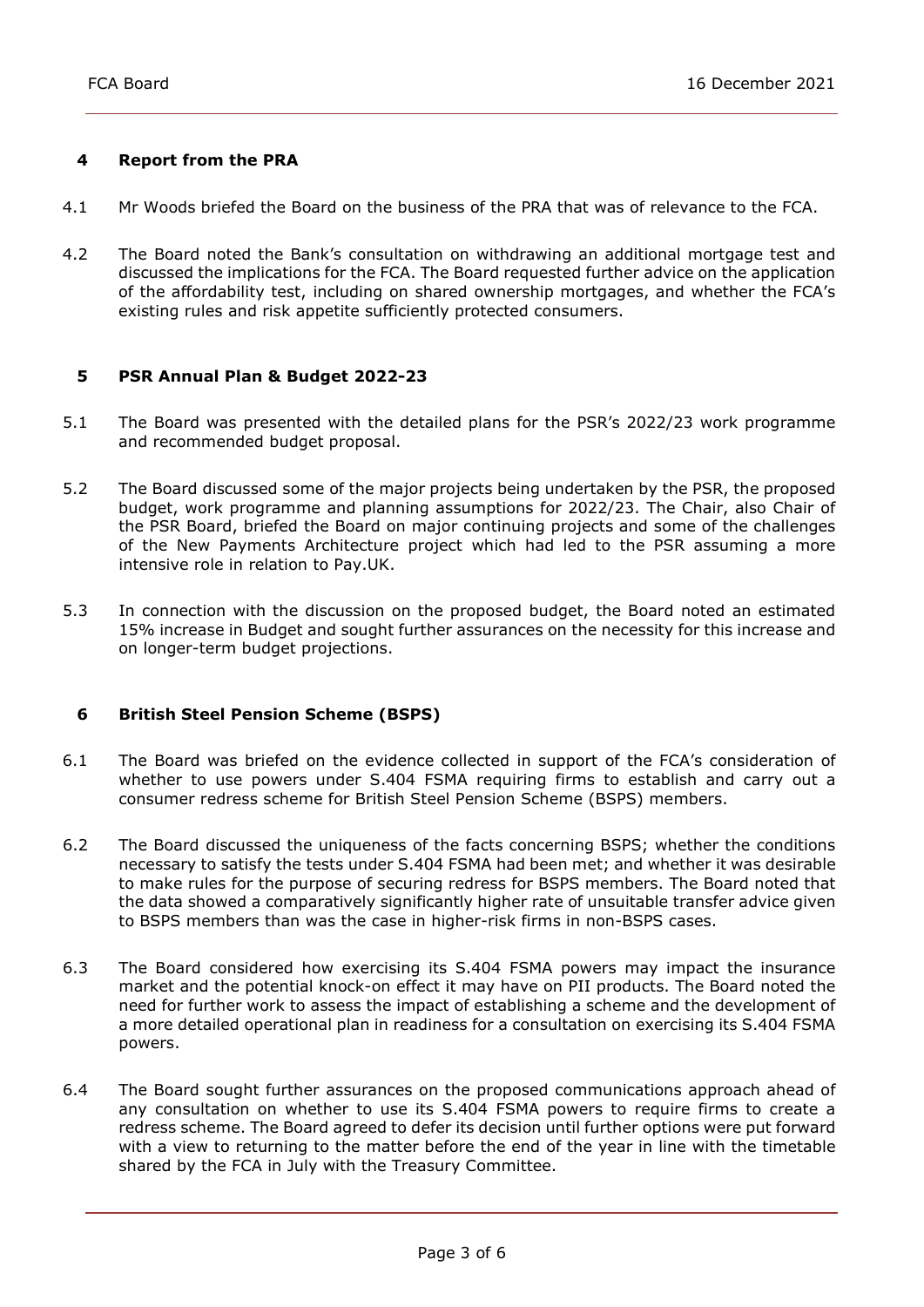## 4 Report from the PRA

- 4.1 Mr Woods briefed the Board on the business of the PRA that was of relevance to the FCA.
- 4.2 The Board noted the Bank's consultation on withdrawing an additional mortgage test and discussed the implications for the FCA. The Board requested further advice on the application of the affordability test, including on shared ownership mortgages, and whether the FCA's existing rules and risk appetite sufficiently protected consumers.

## 5 PSR Annual Plan & Budget 2022-23

- 5.1 The Board was presented with the detailed plans for the PSR's 2022/23 work programme and recommended budget proposal.
- 5.2 The Board discussed some of the major projects being undertaken by the PSR, the proposed budget, work programme and planning assumptions for 2022/23. The Chair, also Chair of the PSR Board, briefed the Board on major continuing projects and some of the challenges of the New Payments Architecture project which had led to the PSR assuming a more intensive role in relation to Pay.UK.
- 5.3 In connection with the discussion on the proposed budget, the Board noted an estimated 15% increase in Budget and sought further assurances on the necessity for this increase and on longer-term budget projections.

## 6 British Steel Pension Scheme (BSPS)

- 6.1 The Board was briefed on the evidence collected in support of the FCA's consideration of whether to use powers under S.404 FSMA requiring firms to establish and carry out a consumer redress scheme for British Steel Pension Scheme (BSPS) members.
- 6.2 The Board discussed the uniqueness of the facts concerning BSPS; whether the conditions necessary to satisfy the tests under S.404 FSMA had been met; and whether it was desirable to make rules for the purpose of securing redress for BSPS members. The Board noted that the data showed a comparatively significantly higher rate of unsuitable transfer advice given to BSPS members than was the case in higher-risk firms in non-BSPS cases.
- 6.3 The Board considered how exercising its S.404 FSMA powers may impact the insurance market and the potential knock-on effect it may have on PII products. The Board noted the need for further work to assess the impact of establishing a scheme and the development of a more detailed operational plan in readiness for a consultation on exercising its S.404 FSMA powers.
- 6.4 The Board sought further assurances on the proposed communications approach ahead of any consultation on whether to use its S.404 FSMA powers to require firms to create a redress scheme. The Board agreed to defer its decision until further options were put forward with a view to returning to the matter before the end of the year in line with the timetable shared by the FCA in July with the Treasury Committee.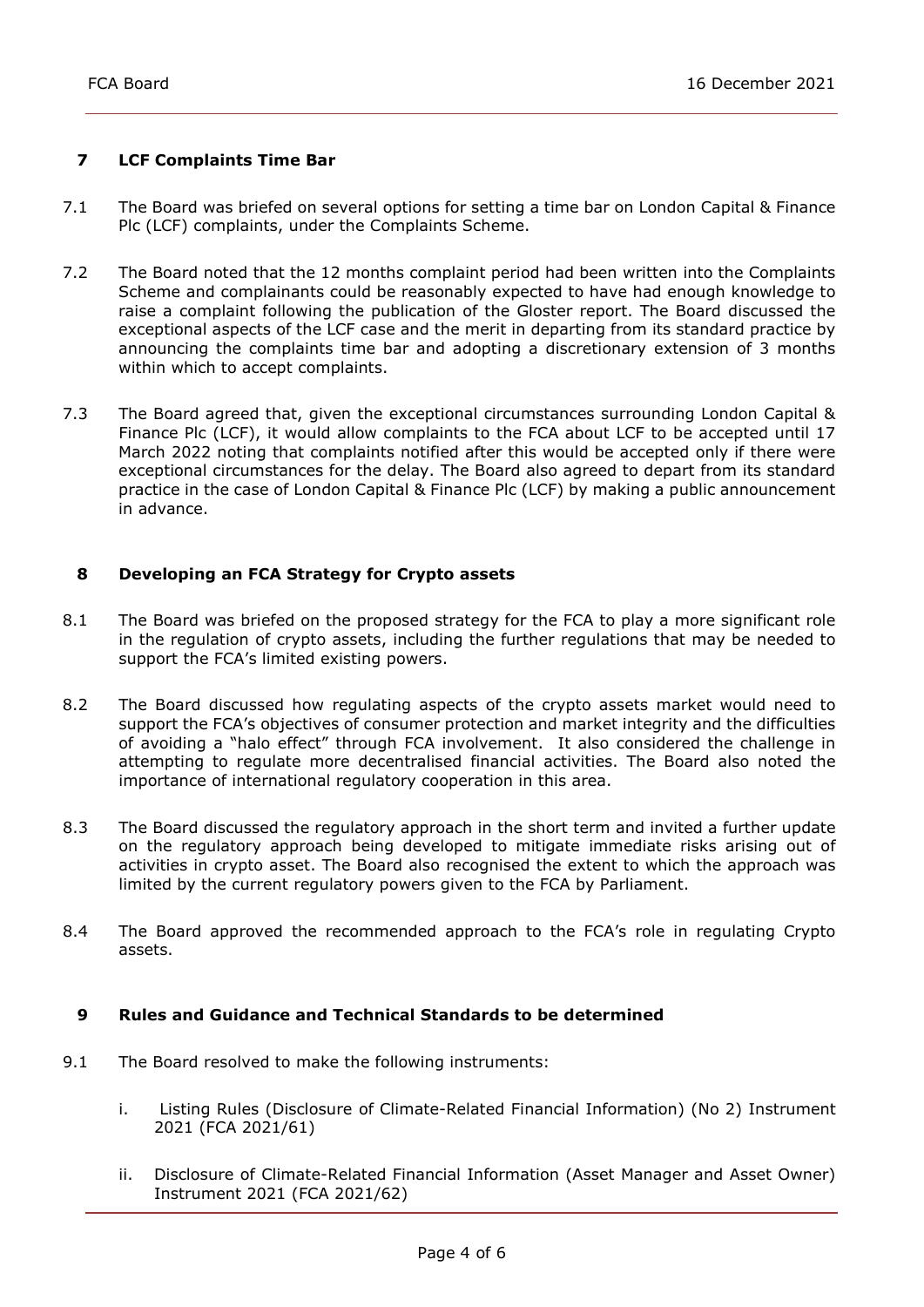# 7 LCF Complaints Time Bar

- 7.1 The Board was briefed on several options for setting a time bar on London Capital & Finance Plc (LCF) complaints, under the Complaints Scheme.
- 7.2 The Board noted that the 12 months complaint period had been written into the Complaints Scheme and complainants could be reasonably expected to have had enough knowledge to raise a complaint following the publication of the Gloster report. The Board discussed the exceptional aspects of the LCF case and the merit in departing from its standard practice by announcing the complaints time bar and adopting a discretionary extension of 3 months within which to accept complaints.
- 7.3 The Board agreed that, given the exceptional circumstances surrounding London Capital & Finance Plc (LCF), it would allow complaints to the FCA about LCF to be accepted until 17 March 2022 noting that complaints notified after this would be accepted only if there were exceptional circumstances for the delay. The Board also agreed to depart from its standard practice in the case of London Capital & Finance Plc (LCF) by making a public announcement in advance.

## 8 Developing an FCA Strategy for Crypto assets

- 8.1 The Board was briefed on the proposed strategy for the FCA to play a more significant role in the regulation of crypto assets, including the further regulations that may be needed to support the FCA's limited existing powers.
- 8.2 The Board discussed how regulating aspects of the crypto assets market would need to support the FCA's objectives of consumer protection and market integrity and the difficulties of avoiding a "halo effect" through FCA involvement. It also considered the challenge in attempting to regulate more decentralised financial activities. The Board also noted the importance of international regulatory cooperation in this area.
- 8.3 The Board discussed the regulatory approach in the short term and invited a further update on the regulatory approach being developed to mitigate immediate risks arising out of activities in crypto asset. The Board also recognised the extent to which the approach was limited by the current regulatory powers given to the FCA by Parliament.
- 8.4 The Board approved the recommended approach to the FCA's role in regulating Crypto assets.

## 9 Rules and Guidance and Technical Standards to be determined

- 9.1 The Board resolved to make the following instruments:
	- i. Listing Rules (Disclosure of Climate-Related Financial Information) (No 2) Instrument 2021 (FCA 2021/61)
	- ii. Disclosure of Climate-Related Financial Information (Asset Manager and Asset Owner) Instrument 2021 (FCA 2021/62)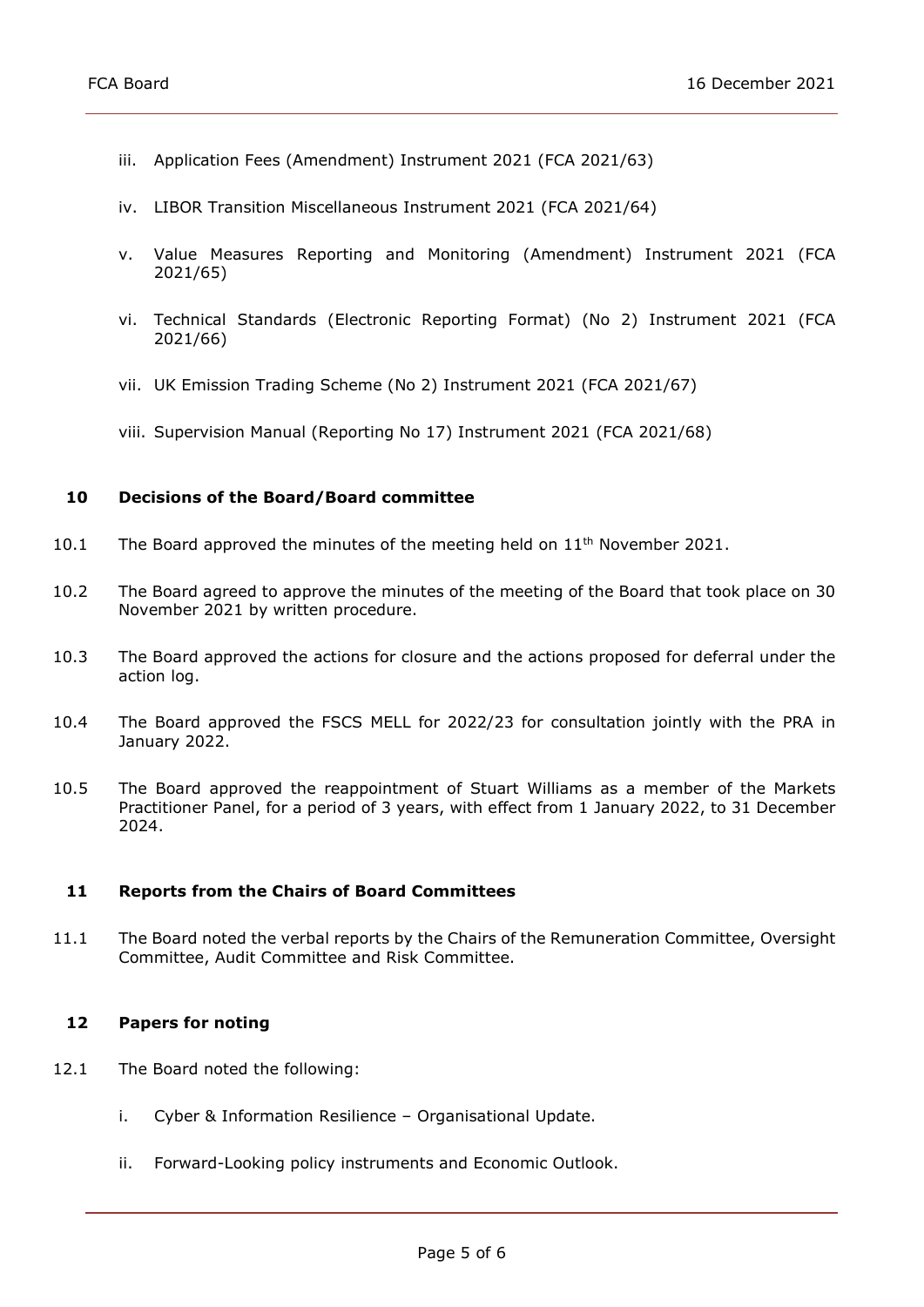- iii. Application Fees (Amendment) Instrument 2021 (FCA 2021/63)
- iv. LIBOR Transition Miscellaneous Instrument 2021 (FCA 2021/64)
- v. Value Measures Reporting and Monitoring (Amendment) Instrument 2021 (FCA 2021/65)
- vi. Technical Standards (Electronic Reporting Format) (No 2) Instrument 2021 (FCA 2021/66)
- vii. UK Emission Trading Scheme (No 2) Instrument 2021 (FCA 2021/67)
- viii. Supervision Manual (Reporting No 17) Instrument 2021 (FCA 2021/68)

#### 10 Decisions of the Board/Board committee

- 10.1 The Board approved the minutes of the meeting held on 11<sup>th</sup> November 2021.
- 10.2 The Board agreed to approve the minutes of the meeting of the Board that took place on 30 November 2021 by written procedure.
- 10.3 The Board approved the actions for closure and the actions proposed for deferral under the action log.
- 10.4 The Board approved the FSCS MELL for 2022/23 for consultation jointly with the PRA in January 2022.
- 10.5 The Board approved the reappointment of Stuart Williams as a member of the Markets Practitioner Panel, for a period of 3 years, with effect from 1 January 2022, to 31 December 2024.

#### 11 Reports from the Chairs of Board Committees

 11.1 The Board noted the verbal reports by the Chairs of the Remuneration Committee, Oversight Committee, Audit Committee and Risk Committee.

#### 12 Papers for noting

- 12.1 The Board noted the following:
	- i. Cyber & Information Resilience Organisational Update.
	- ii. Forward-Looking policy instruments and Economic Outlook.